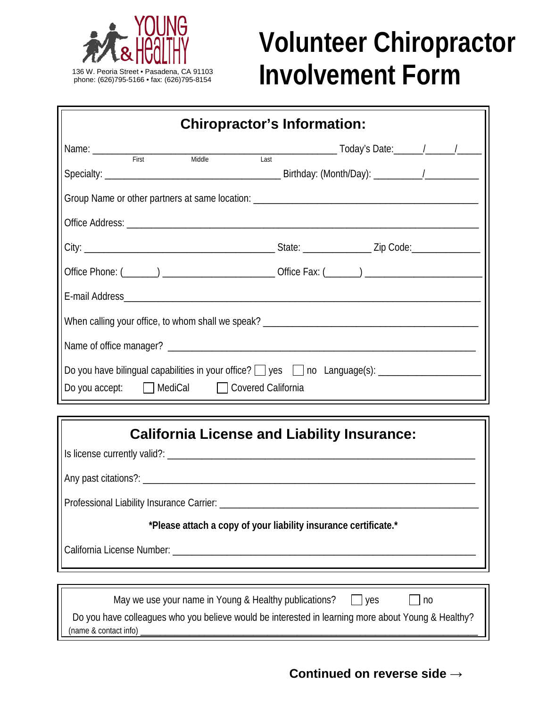

## **Volunteer Chiropractor** 136 W. Peoria Street • Pasadena, CA 91103<br>phone: (626)795-5166 • fax: (626)795-8154<br>**INVOIVEMENT**<br>FORM

| <b>Chiropractor's Information:</b>        |  |  |
|-------------------------------------------|--|--|
|                                           |  |  |
|                                           |  |  |
|                                           |  |  |
|                                           |  |  |
|                                           |  |  |
|                                           |  |  |
|                                           |  |  |
|                                           |  |  |
|                                           |  |  |
| Do you accept: MediCal Covered California |  |  |
|                                           |  |  |



**Continued on reverse side →**